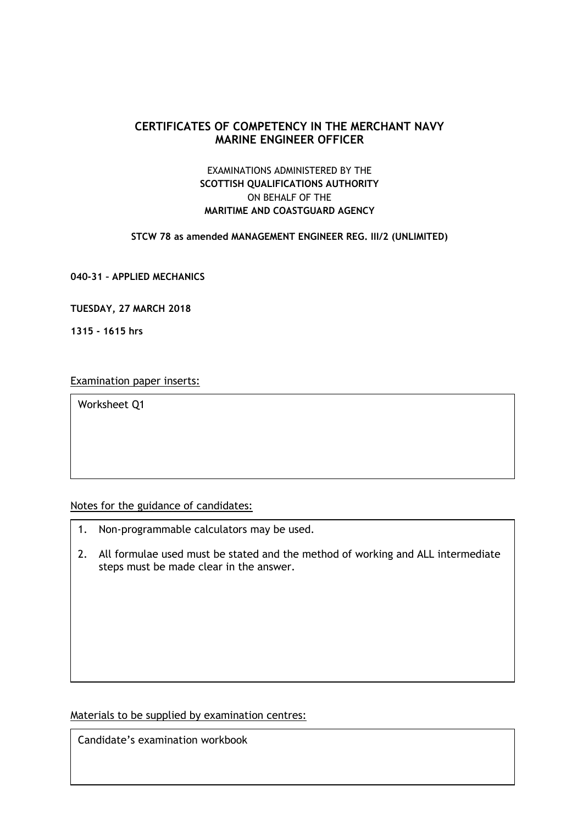# **CERTIFICATES OF COMPETENCY IN THE MERCHANT NAVY MARINE ENGINEER OFFICER**

# EXAMINATIONS ADMINISTERED BY THE **SCOTTISH QUALIFICATIONS AUTHORITY** ON BEHALF OF THE **MARITIME AND COASTGUARD AGENCY**

#### **STCW 78 as amended MANAGEMENT ENGINEER REG. III/2 (UNLIMITED)**

**040-31 – APPLIED MECHANICS**

**TUESDAY, 27 MARCH 2018**

**1315 - 1615 hrs**

Examination paper inserts:

Worksheet Q1

Notes for the guidance of candidates:

- 1. Non-programmable calculators may be used.
- 2. All formulae used must be stated and the method of working and ALL intermediate steps must be made clear in the answer.

Materials to be supplied by examination centres:

Candidate's examination workbook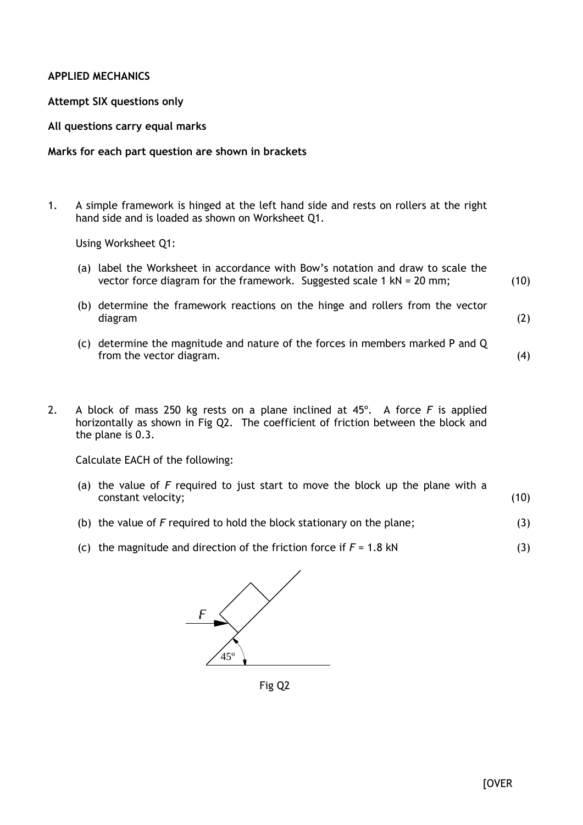## **APPLIED MECHANICS**

#### **Attempt SIX questions only**

#### **All questions carry equal marks**

## **Marks for each part question are shown in brackets**

1. A simple framework is hinged at the left hand side and rests on rollers at the right hand side and is loaded as shown on Worksheet Q1.

Using Worksheet Q1:

- (a) label the Worksheet in accordance with Bow's notation and draw to scale the vector force diagram for the framework. Suggested scale 1 kN = 20 mm; (10)
- (b) determine the framework reactions on the hinge and rollers from the vector diagram
- (c) determine the magnitude and nature of the forces in members marked P and Q from the vector diagram. (4)
- 2. A block of mass 250 kg rests on a plane inclined at 45º. A force *F* is applied horizontally as shown in Fig Q2. The coefficient of friction between the block and the plane is 0.3.

Calculate EACH of the following:

- (a) the value of *F* required to just start to move the block up the plane with a constant velocity; (10)
- (b) the value of *F* required to hold the block stationary on the plane; (3)
- (c) the magnitude and direction of the friction force if *F* = 1.8 kN (3)



Fig Q2

(2)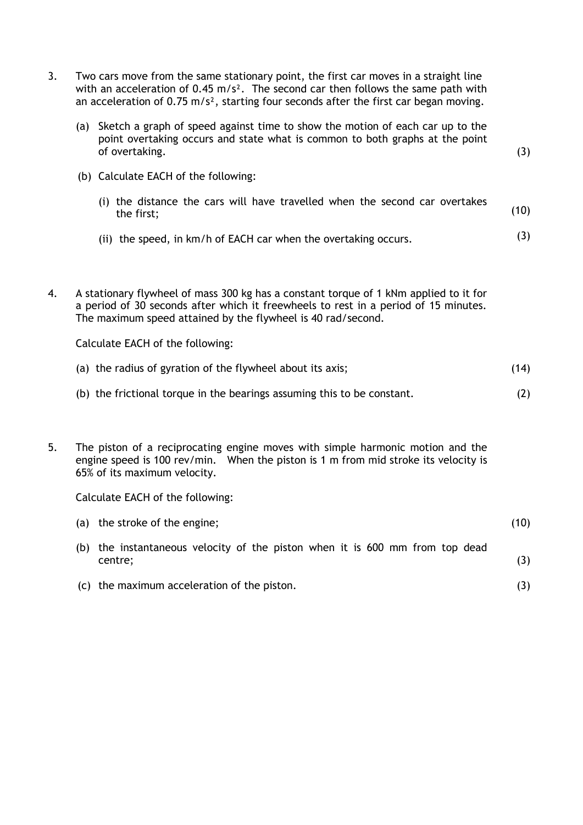|    | with an acceleration of $0.45 \text{ m/s}^2$ . The second car then follows the same path with<br>an acceleration of $0.75$ m/s <sup>2</sup> , starting four seconds after the first car began moving.                                        |      |
|----|----------------------------------------------------------------------------------------------------------------------------------------------------------------------------------------------------------------------------------------------|------|
|    | (a) Sketch a graph of speed against time to show the motion of each car up to the<br>point overtaking occurs and state what is common to both graphs at the point<br>of overtaking.                                                          | (3)  |
|    | (b) Calculate EACH of the following:                                                                                                                                                                                                         |      |
|    | (i) the distance the cars will have travelled when the second car overtakes<br>the first;                                                                                                                                                    | (10) |
|    | (ii) the speed, in km/h of EACH car when the overtaking occurs.                                                                                                                                                                              | (3)  |
|    |                                                                                                                                                                                                                                              |      |
| 4. | A stationary flywheel of mass 300 kg has a constant torque of 1 kNm applied to it for<br>a period of 30 seconds after which it freewheels to rest in a period of 15 minutes.<br>The maximum speed attained by the flywheel is 40 rad/second. |      |
|    | Calculate EACH of the following:                                                                                                                                                                                                             |      |
|    | (a) the radius of gyration of the flywheel about its axis;                                                                                                                                                                                   | (14) |
|    | (b) the frictional torque in the bearings assuming this to be constant.                                                                                                                                                                      | (2)  |
|    |                                                                                                                                                                                                                                              |      |
| 5. | The piston of a reciprocating engine moves with simple harmonic motion and the<br>engine speed is 100 rev/min. When the piston is 1 m from mid stroke its velocity is<br>65% of its maximum velocity.                                        |      |
|    | Calculate EACH of the following:                                                                                                                                                                                                             |      |
|    | (a) the stroke of the engine;                                                                                                                                                                                                                | (10) |
|    | (b) the instantaneous velocity of the piston when it is 600 mm from top dead<br>centre;                                                                                                                                                      | (3)  |
|    | (c) the maximum acceleration of the piston.                                                                                                                                                                                                  | (3)  |

3. Two cars move from the same stationary point, the first car moves in a straight line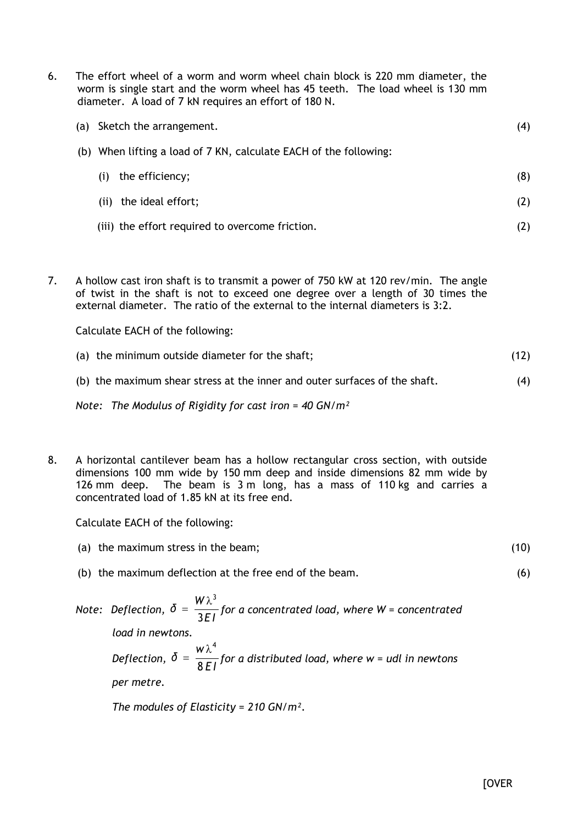| 6. | The effort wheel of a worm and worm wheel chain block is 220 mm diameter, the<br>worm is single start and the worm wheel has 45 teeth. The load wheel is 130 mm<br>diameter. A load of 7 kN requires an effort of 180 N. |     |
|----|--------------------------------------------------------------------------------------------------------------------------------------------------------------------------------------------------------------------------|-----|
|    | Sketch the arrangement.<br>(a)                                                                                                                                                                                           | (4) |
|    | (b) When lifting a load of 7 KN, calculate EACH of the following:                                                                                                                                                        |     |
|    | the efficiency;<br>(i)                                                                                                                                                                                                   | (8) |
|    | the ideal effort;<br>(i)                                                                                                                                                                                                 | (2) |
|    | (iii) the effort required to overcome friction.                                                                                                                                                                          | (2) |
|    |                                                                                                                                                                                                                          |     |

7. A hollow cast iron shaft is to transmit a power of 750 kW at 120 rev/min. The angle of twist in the shaft is not to exceed one degree over a length of 30 times the external diameter. The ratio of the external to the internal diameters is 3:2.

Calculate EACH of the following:

| (a) the minimum outside diameter for the shaft;                            | (12) |
|----------------------------------------------------------------------------|------|
| (b) the maximum shear stress at the inner and outer surfaces of the shaft. |      |

*Note: The Modulus of Rigidity for cast iron* = *40 GN/m²*

8. A horizontal cantilever beam has a hollow rectangular cross section, with outside dimensions 100 mm wide by 150 mm deep and inside dimensions 82 mm wide by 126 mm deep. The beam is 3 m long, has a mass of 110 kg and carries a concentrated load of 1.85 kN at its free end.

Calculate EACH of the following:

- (a) the maximum stress in the beam; (10)
- (b) the maximum deflection at the free end of the beam.
- *Note: Deflection, E I*  $\delta = \frac{W}{a}$ 3  $=\frac{W\lambda^3}{25}$  for a concentrated load, where W = concentrated *load in newtons. Deflection, E I w δ* 8  $\lambda^4$  $f(x) = \frac{1}{2\pi}$  for a distributed load, where w = udl in newtons *per metre.*

*The modules of Elasticity = 210 GN/m².*

(6)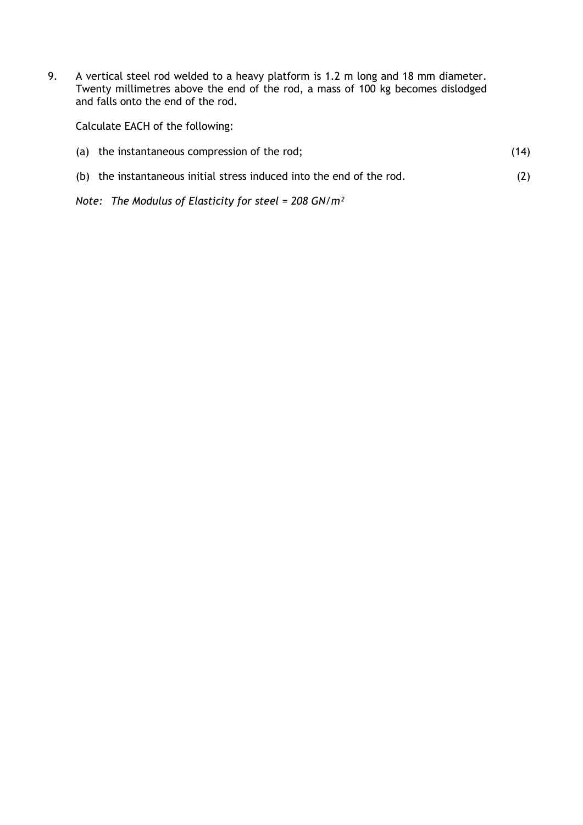9. A vertical steel rod welded to a heavy platform is 1.2 m long and 18 mm diameter. Twenty millimetres above the end of the rod, a mass of 100 kg becomes dislodged and falls onto the end of the rod.

Calculate EACH of the following:

| (a) the instantaneous compression of the rod;                         | (14) |
|-----------------------------------------------------------------------|------|
| (b) the instantaneous initial stress induced into the end of the rod. | (2)  |

*Note: The Modulus of Elasticity for steel* = *208 GN/m²*